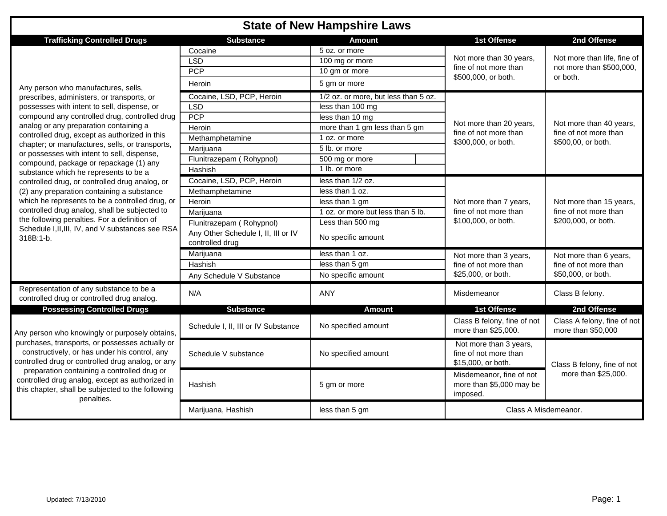## **State of New Hampshire Laws**

| <b>Trafficking Controlled Drugs</b>                                                                                                                                                                                                                                                                                                                                          | <b>Substance</b>                                       | Amount                               | <b>1st Offense</b>                                                    | 2nd Offense                                                             |  |
|------------------------------------------------------------------------------------------------------------------------------------------------------------------------------------------------------------------------------------------------------------------------------------------------------------------------------------------------------------------------------|--------------------------------------------------------|--------------------------------------|-----------------------------------------------------------------------|-------------------------------------------------------------------------|--|
|                                                                                                                                                                                                                                                                                                                                                                              | Cocaine                                                | 5 oz. or more                        |                                                                       | Not more than life, fine of<br>not more than \$500,000,<br>or both.     |  |
|                                                                                                                                                                                                                                                                                                                                                                              | <b>LSD</b>                                             | 100 mg or more                       | Not more than 30 years,                                               |                                                                         |  |
|                                                                                                                                                                                                                                                                                                                                                                              | <b>PCP</b>                                             | 10 gm or more                        | fine of not more than                                                 |                                                                         |  |
| Any person who manufactures, sells,                                                                                                                                                                                                                                                                                                                                          | Heroin                                                 | 5 gm or more                         | \$500,000, or both.                                                   |                                                                         |  |
| prescribes, administers, or transports, or                                                                                                                                                                                                                                                                                                                                   | Cocaine, LSD, PCP, Heroin                              | 1/2 oz. or more, but less than 5 oz. |                                                                       | Not more than 40 years,<br>fine of not more than<br>\$500,00, or both.  |  |
| possesses with intent to sell, dispense, or                                                                                                                                                                                                                                                                                                                                  | LSD                                                    | less than 100 mg                     |                                                                       |                                                                         |  |
| compound any controlled drug, controlled drug                                                                                                                                                                                                                                                                                                                                | <b>PCP</b>                                             | less than 10 mg                      |                                                                       |                                                                         |  |
| analog or any preparation containing a                                                                                                                                                                                                                                                                                                                                       | Heroin                                                 | more than 1 gm less than 5 gm        | Not more than 20 years,                                               |                                                                         |  |
| controlled drug, except as authorized in this                                                                                                                                                                                                                                                                                                                                | Methamphetamine                                        | 1 oz. or more                        | fine of not more than                                                 |                                                                         |  |
| chapter; or manufactures, sells, or transports,                                                                                                                                                                                                                                                                                                                              | Marijuana                                              | 5 lb. or more                        | \$300,000, or both.                                                   |                                                                         |  |
| or possesses with intent to sell, dispense,                                                                                                                                                                                                                                                                                                                                  | Flunitrazepam (Rohypnol)                               | 500 mg or more                       |                                                                       |                                                                         |  |
| compound, package or repackage (1) any<br>substance which he represents to be a                                                                                                                                                                                                                                                                                              | Hashish                                                | 1 lb. or more                        |                                                                       |                                                                         |  |
| controlled drug, or controlled drug analog, or                                                                                                                                                                                                                                                                                                                               | Cocaine, LSD, PCP, Heroin                              | less than 1/2 oz.                    |                                                                       | Not more than 15 years,<br>fine of not more than<br>\$200,000, or both. |  |
| (2) any preparation containing a substance                                                                                                                                                                                                                                                                                                                                   | Methamphetamine                                        | less than 1 oz.                      |                                                                       |                                                                         |  |
| which he represents to be a controlled drug, or                                                                                                                                                                                                                                                                                                                              | Heroin                                                 | less than 1 gm                       | Not more than 7 years,                                                |                                                                         |  |
| controlled drug analog, shall be subjected to                                                                                                                                                                                                                                                                                                                                | Marijuana                                              | 1 oz. or more but less than 5 lb.    | fine of not more than                                                 |                                                                         |  |
| the following penalties. For a definition of                                                                                                                                                                                                                                                                                                                                 | Flunitrazepam (Rohypnol)                               | Less than 500 mg                     | \$100,000, or both.                                                   |                                                                         |  |
| Schedule I, II, III, IV, and V substances see RSA<br>318B:1-b.                                                                                                                                                                                                                                                                                                               | Any Other Schedule I, II, III or IV<br>controlled drug | No specific amount                   |                                                                       |                                                                         |  |
|                                                                                                                                                                                                                                                                                                                                                                              | Marijuana                                              | less than 1 oz.                      | Not more than 3 years,                                                | Not more than 6 years,<br>fine of not more than<br>\$50,000, or both.   |  |
|                                                                                                                                                                                                                                                                                                                                                                              | Hashish                                                | less than 5 gm                       | fine of not more than                                                 |                                                                         |  |
|                                                                                                                                                                                                                                                                                                                                                                              | Any Schedule V Substance                               | No specific amount                   | \$25,000, or both.                                                    |                                                                         |  |
| Representation of any substance to be a<br>controlled drug or controlled drug analog.                                                                                                                                                                                                                                                                                        | N/A                                                    | ANY                                  | Misdemeanor                                                           | Class B felony.                                                         |  |
| <b>Possessing Controlled Drugs</b>                                                                                                                                                                                                                                                                                                                                           | <b>Substance</b>                                       | <b>Amount</b>                        | <b>1st Offense</b>                                                    | 2nd Offense                                                             |  |
| Any person who knowingly or purposely obtains,<br>purchases, transports, or possesses actually or<br>constructively, or has under his control, any<br>controlled drug or controlled drug analog, or any<br>preparation containing a controlled drug or<br>controlled drug analog, except as authorized in<br>this chapter, shall be subjected to the following<br>penalties. | Schedule I, II, III or IV Substance                    | No specified amount                  | Class B felony, fine of not<br>more than \$25,000.                    | Class A felony, fine of not<br>more than \$50,000                       |  |
|                                                                                                                                                                                                                                                                                                                                                                              | Schedule V substance                                   | No specified amount                  | Not more than 3 years,<br>fine of not more than<br>\$15,000, or both. | Class B felony, fine of not<br>more than \$25,000.                      |  |
|                                                                                                                                                                                                                                                                                                                                                                              | Hashish                                                | 5 gm or more                         | Misdemeanor, fine of not<br>more than \$5,000 may be<br>imposed.      |                                                                         |  |
|                                                                                                                                                                                                                                                                                                                                                                              | Marijuana, Hashish                                     | less than 5 gm                       | Class A Misdemeanor.                                                  |                                                                         |  |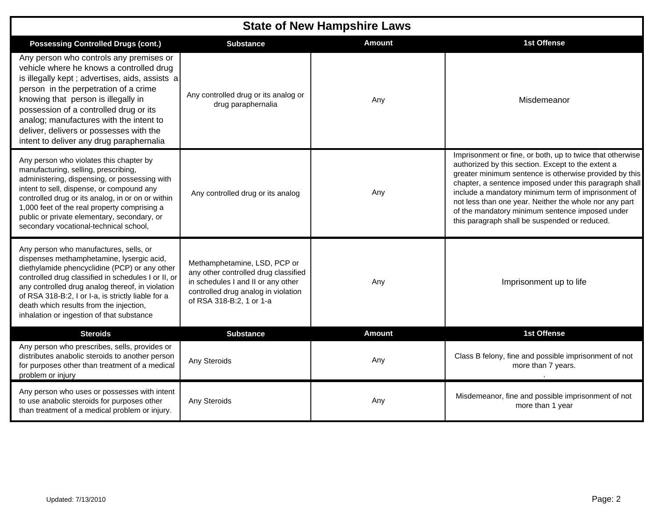| <b>State of New Hampshire Laws</b>                                                                                                                                                                                                                                                                                                                                                                |                                                                                                                                                                               |               |                                                                                                                                                                                                                                                                                                                                                                                                                                                          |  |  |  |  |
|---------------------------------------------------------------------------------------------------------------------------------------------------------------------------------------------------------------------------------------------------------------------------------------------------------------------------------------------------------------------------------------------------|-------------------------------------------------------------------------------------------------------------------------------------------------------------------------------|---------------|----------------------------------------------------------------------------------------------------------------------------------------------------------------------------------------------------------------------------------------------------------------------------------------------------------------------------------------------------------------------------------------------------------------------------------------------------------|--|--|--|--|
| <b>Possessing Controlled Drugs (cont.)</b>                                                                                                                                                                                                                                                                                                                                                        | <b>Substance</b>                                                                                                                                                              | <b>Amount</b> | 1st Offense                                                                                                                                                                                                                                                                                                                                                                                                                                              |  |  |  |  |
| Any person who controls any premises or<br>vehicle where he knows a controlled drug<br>is illegally kept; advertises, aids, assists a<br>person in the perpetration of a crime<br>knowing that person is illegally in<br>possession of a controlled drug or its<br>analog; manufactures with the intent to<br>deliver, delivers or possesses with the<br>intent to deliver any drug paraphernalia | Any controlled drug or its analog or<br>drug paraphernalia                                                                                                                    | Any           | Misdemeanor                                                                                                                                                                                                                                                                                                                                                                                                                                              |  |  |  |  |
| Any person who violates this chapter by<br>manufacturing, selling, prescribing,<br>administering, dispensing, or possessing with<br>intent to sell, dispense, or compound any<br>controlled drug or its analog, in or on or within<br>1,000 feet of the real property comprising a<br>public or private elementary, secondary, or<br>secondary vocational-technical school,                       | Any controlled drug or its analog                                                                                                                                             | Any           | Imprisonment or fine, or both, up to twice that otherwise<br>authorized by this section. Except to the extent a<br>greater minimum sentence is otherwise provided by this<br>chapter, a sentence imposed under this paragraph shall<br>include a mandatory minimum term of imprisonment of<br>not less than one year. Neither the whole nor any part<br>of the mandatory minimum sentence imposed under<br>this paragraph shall be suspended or reduced. |  |  |  |  |
| Any person who manufactures, sells, or<br>dispenses methamphetamine, lysergic acid,<br>diethylamide phencyclidine (PCP) or any other<br>controlled drug classified in schedules I or II, or<br>any controlled drug analog thereof, in violation<br>of RSA 318-B:2, I or I-a, is strictly liable for a<br>death which results from the injection,<br>inhalation or ingestion of that substance     | Methamphetamine, LSD, PCP or<br>any other controlled drug classified<br>in schedules I and II or any other<br>controlled drug analog in violation<br>of RSA 318-B:2, 1 or 1-a | Any           | Imprisonment up to life                                                                                                                                                                                                                                                                                                                                                                                                                                  |  |  |  |  |
| <b>Steroids</b>                                                                                                                                                                                                                                                                                                                                                                                   | <b>Substance</b>                                                                                                                                                              | <b>Amount</b> | 1st Offense                                                                                                                                                                                                                                                                                                                                                                                                                                              |  |  |  |  |
| Any person who prescribes, sells, provides or<br>distributes anabolic steroids to another person<br>for purposes other than treatment of a medical<br>problem or injury                                                                                                                                                                                                                           | Any Steroids                                                                                                                                                                  | Any           | Class B felony, fine and possible imprisonment of not<br>more than 7 years.                                                                                                                                                                                                                                                                                                                                                                              |  |  |  |  |
| Any person who uses or possesses with intent<br>to use anabolic steroids for purposes other<br>than treatment of a medical problem or injury.                                                                                                                                                                                                                                                     | Any Steroids                                                                                                                                                                  | Any           | Misdemeanor, fine and possible imprisonment of not<br>more than 1 year                                                                                                                                                                                                                                                                                                                                                                                   |  |  |  |  |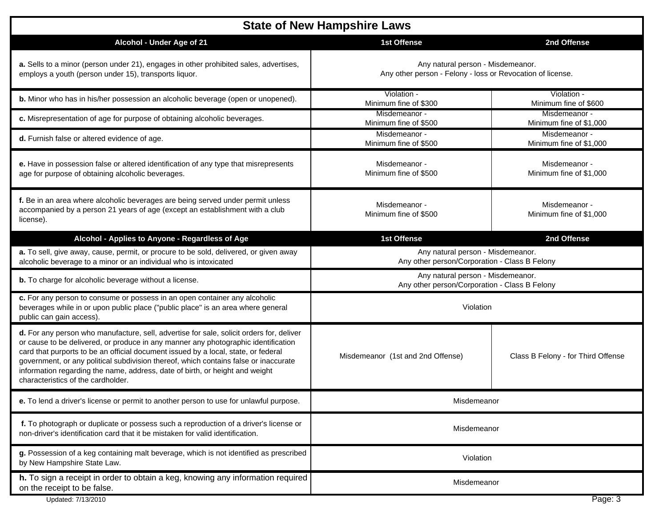| <b>State of New Hampshire Laws</b>                                                                                                                                                                                                                                                                                                                                                                                                                                                 |                                                                                                 |                                          |  |  |  |
|------------------------------------------------------------------------------------------------------------------------------------------------------------------------------------------------------------------------------------------------------------------------------------------------------------------------------------------------------------------------------------------------------------------------------------------------------------------------------------|-------------------------------------------------------------------------------------------------|------------------------------------------|--|--|--|
| Alcohol - Under Age of 21                                                                                                                                                                                                                                                                                                                                                                                                                                                          | <b>1st Offense</b>                                                                              | 2nd Offense                              |  |  |  |
| a. Sells to a minor (person under 21), engages in other prohibited sales, advertises,<br>employs a youth (person under 15), transports liquor.                                                                                                                                                                                                                                                                                                                                     | Any natural person - Misdemeanor.<br>Any other person - Felony - loss or Revocation of license. |                                          |  |  |  |
| b. Minor who has in his/her possession an alcoholic beverage (open or unopened).                                                                                                                                                                                                                                                                                                                                                                                                   | Violation -<br>Minimum fine of \$300                                                            | Violation -<br>Minimum fine of \$600     |  |  |  |
| c. Misrepresentation of age for purpose of obtaining alcoholic beverages.                                                                                                                                                                                                                                                                                                                                                                                                          | Misdemeanor -<br>Minimum fine of \$500                                                          | Misdemeanor -<br>Minimum fine of \$1,000 |  |  |  |
| d. Furnish false or altered evidence of age.                                                                                                                                                                                                                                                                                                                                                                                                                                       | Misdemeanor -<br>Minimum fine of \$500                                                          | Misdemeanor -<br>Minimum fine of \$1,000 |  |  |  |
| e. Have in possession false or altered identification of any type that misrepresents<br>age for purpose of obtaining alcoholic beverages.                                                                                                                                                                                                                                                                                                                                          | Misdemeanor -<br>Minimum fine of \$500                                                          | Misdemeanor -<br>Minimum fine of \$1,000 |  |  |  |
| f. Be in an area where alcoholic beverages are being served under permit unless<br>accompanied by a person 21 years of age (except an establishment with a club<br>license).                                                                                                                                                                                                                                                                                                       | Misdemeanor -<br>Minimum fine of \$500                                                          | Misdemeanor -<br>Minimum fine of \$1,000 |  |  |  |
| Alcohol - Applies to Anyone - Regardless of Age                                                                                                                                                                                                                                                                                                                                                                                                                                    | <b>1st Offense</b>                                                                              | 2nd Offense                              |  |  |  |
| a. To sell, give away, cause, permit, or procure to be sold, delivered, or given away<br>alcoholic beverage to a minor or an individual who is intoxicated                                                                                                                                                                                                                                                                                                                         | Any natural person - Misdemeanor.<br>Any other person/Corporation - Class B Felony              |                                          |  |  |  |
| <b>b.</b> To charge for alcoholic beverage without a license.                                                                                                                                                                                                                                                                                                                                                                                                                      | Any natural person - Misdemeanor.<br>Any other person/Corporation - Class B Felony              |                                          |  |  |  |
| c. For any person to consume or possess in an open container any alcoholic<br>beverages while in or upon public place ("public place" is an area where general<br>public can gain access).                                                                                                                                                                                                                                                                                         | Violation                                                                                       |                                          |  |  |  |
| d. For any person who manufacture, sell, advertise for sale, solicit orders for, deliver<br>or cause to be delivered, or produce in any manner any photographic identification<br>card that purports to be an official document issued by a local, state, or federal<br>government, or any political subdivision thereof, which contains false or inaccurate<br>information regarding the name, address, date of birth, or height and weight<br>characteristics of the cardholder. | Misdemeanor (1st and 2nd Offense)                                                               | Class B Felony - for Third Offense       |  |  |  |
| e. To lend a driver's license or permit to another person to use for unlawful purpose.                                                                                                                                                                                                                                                                                                                                                                                             | Misdemeanor                                                                                     |                                          |  |  |  |
| f. To photograph or duplicate or possess such a reproduction of a driver's license or<br>non-driver's identification card that it be mistaken for valid identification.                                                                                                                                                                                                                                                                                                            | Misdemeanor                                                                                     |                                          |  |  |  |
| g. Possession of a keg containing malt beverage, which is not identified as prescribed<br>by New Hampshire State Law.                                                                                                                                                                                                                                                                                                                                                              | Violation                                                                                       |                                          |  |  |  |
| h. To sign a receipt in order to obtain a keg, knowing any information required<br>on the receipt to be false.                                                                                                                                                                                                                                                                                                                                                                     | Misdemeanor                                                                                     |                                          |  |  |  |
| Updated: 7/13/2010                                                                                                                                                                                                                                                                                                                                                                                                                                                                 |                                                                                                 | Page: 3                                  |  |  |  |